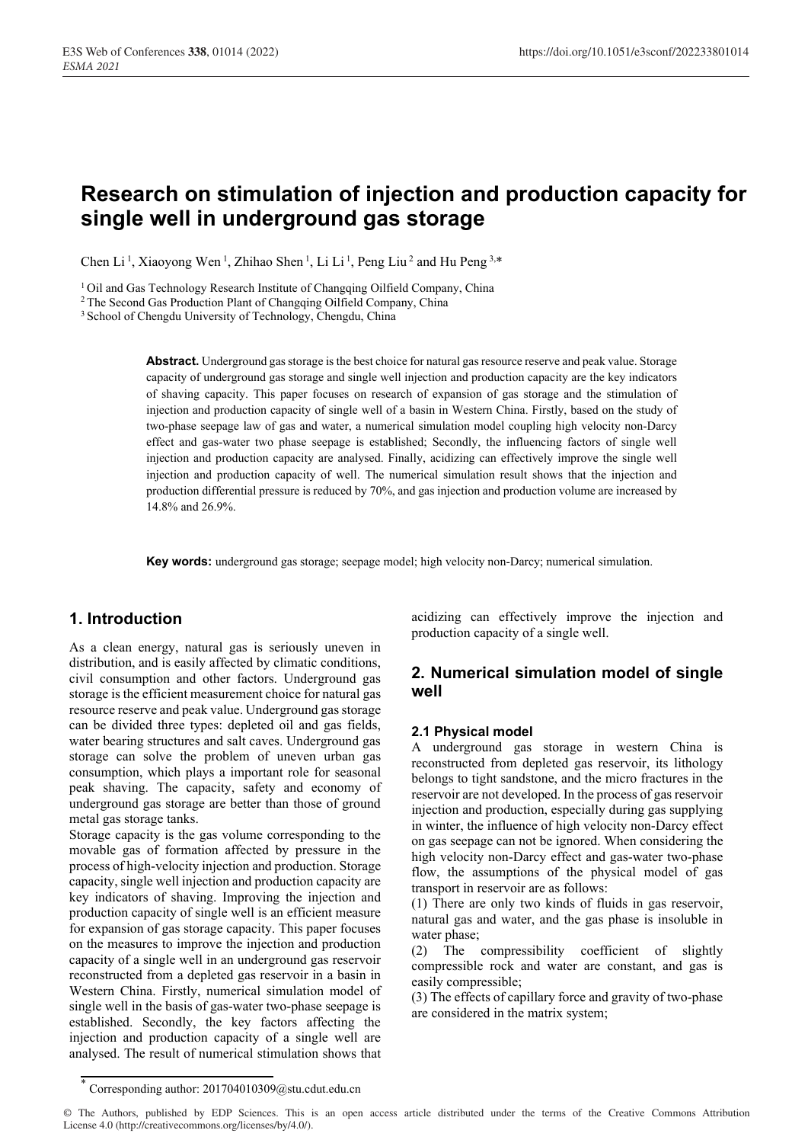# **Research on stimulation of injection and production capacity for single well in underground gas storage**

Chen Li<sup>1</sup>, Xiaoyong Wen<sup>1</sup>, Zhihao Shen<sup>1</sup>, Li Li<sup>1</sup>, Peng Liu<sup>2</sup> and Hu Peng<sup>3,\*</sup>

<sup>1</sup> Oil and Gas Technology Research Institute of Changqing Oilfield Company, China <sup>2</sup> The Second Gas Production Plant of Changqing Oilfield Company, China <sup>3</sup> School of Chengdu University of Technology, Chengdu, China

**Abstract.** Underground gas storage is the best choice for natural gas resource reserve and peak value. Storage capacity of underground gas storage and single well injection and production capacity are the key indicators of shaving capacity. This paper focuses on research of expansion of gas storage and the stimulation of injection and production capacity of single well of a basin in Western China. Firstly, based on the study of two-phase seepage law of gas and water, a numerical simulation model coupling high velocity non-Darcy effect and gas-water two phase seepage is established; Secondly, the influencing factors of single well injection and production capacity are analysed. Finally, acidizing can effectively improve the single well injection and production capacity of well. The numerical simulation result shows that the injection and production differential pressure is reduced by 70%, and gas injection and production volume are increased by 14.8% and 26.9%.

**Key words:** underground gas storage; seepage model; high velocity non-Darcy; numerical simulation.

## **1. Introduction**

As a clean energy, natural gas is seriously uneven in distribution, and is easily affected by climatic conditions, civil consumption and other factors. Underground gas storage is the efficient measurement choice for natural gas resource reserve and peak value. Underground gas storage can be divided three types: depleted oil and gas fields, water bearing structures and salt caves. Underground gas storage can solve the problem of uneven urban gas consumption, which plays a important role for seasonal peak shaving. The capacity, safety and economy of underground gas storage are better than those of ground metal gas storage tanks.

Storage capacity is the gas volume corresponding to the movable gas of formation affected by pressure in the process of high-velocity injection and production. Storage capacity, single well injection and production capacity are key indicators of shaving. Improving the injection and production capacity of single well is an efficient measure for expansion of gas storage capacity. This paper focuses on the measures to improve the injection and production capacity of a single well in an underground gas reservoir reconstructed from a depleted gas reservoir in a basin in Western China. Firstly, numerical simulation model of single well in the basis of gas-water two-phase seepage is established. Secondly, the key factors affecting the injection and production capacity of a single well are analysed. The result of numerical stimulation shows that

acidizing can effectively improve the injection and production capacity of a single well.

## **2. Numerical simulation model of single well**

#### **2.1 Physical model**

A underground gas storage in western China is reconstructed from depleted gas reservoir, its lithology belongs to tight sandstone, and the micro fractures in the reservoir are not developed. In the process of gas reservoir injection and production, especially during gas supplying in winter, the influence of high velocity non-Darcy effect on gas seepage can not be ignored. When considering the high velocity non-Darcy effect and gas-water two-phase flow, the assumptions of the physical model of gas transport in reservoir are as follows:

(1) There are only two kinds of fluids in gas reservoir, natural gas and water, and the gas phase is insoluble in water phase;

(2) The compressibility coefficient of slightly compressible rock and water are constant, and gas is easily compressible;

(3) The effects of capillary force and gravity of two-phase are considered in the matrix system;

<sup>\*</sup> Corresponding author: 201704010309@stu.cdut.edu.cn

<sup>©</sup> The Authors, published by EDP Sciences. This is an open access article distributed under the terms of the Creative Commons Attribution License 4.0 (http://creativecommons.org/licenses/by/4.0/).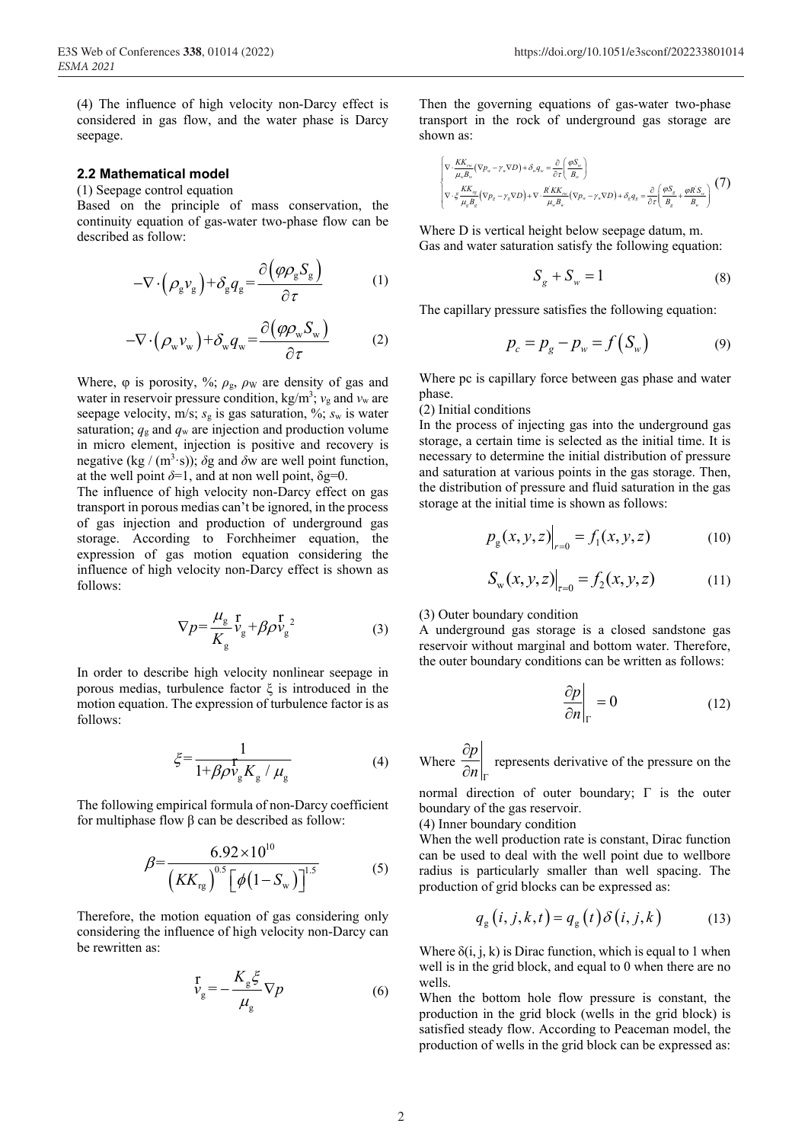(4) The influence of high velocity non-Darcy effect is considered in gas flow, and the water phase is Darcy seepage.

#### **2.2 Mathematical model**

(1) Seepage control equation

Based on the principle of mass conservation, the continuity equation of gas-water two-phase flow can be described as follow:

$$
-\nabla \cdot \left(\rho_{g} v_{g}\right) + \delta_{g} q_{g} = \frac{\partial \left(\varphi \rho_{g} S_{g}\right)}{\partial \tau}
$$
 (1)

$$
-\nabla \cdot (\rho_w v_w) + \delta_w q_w = \frac{\partial (\varphi \rho_w S_w)}{\partial \tau}
$$
 (2)

Where,  $\varphi$  is porosity, %;  $\rho_{\rm g}$ ,  $\rho_{\rm W}$  are density of gas and water in reservoir pressure condition,  $kg/m^3$ ;  $v_g$  and  $v_w$  are seepage velocity, m/s;  $s_g$  is gas saturation, %;  $s_w$  is water saturation;  $q_g$  and  $q_w$  are injection and production volume in micro element, injection is positive and recovery is negative (kg / (m<sup>3</sup>·s));  $\delta$ g and  $\delta$ w are well point function, at the well point  $\delta=1$ , and at non well point,  $\delta$ g=0.

The influence of high velocity non-Darcy effect on gas transport in porous medias can't be ignored, in the process of gas injection and production of underground gas storage. According to Forchheimer equation, the expression of gas motion equation considering the influence of high velocity non-Darcy effect is shown as follows:

$$
\nabla p = \frac{\mu_{\rm g}}{K_{\rm g}} \frac{\rm r}{v_{\rm g}} + \beta \rho \frac{\rm r}{v_{\rm g}}^2 \tag{3}
$$

In order to describe high velocity nonlinear seepage in porous medias, turbulence factor ξ is introduced in the motion equation. The expression of turbulence factor is as follows:

$$
\xi = \frac{1}{1 + \beta \rho v_{\rm g} K_{\rm g} / \mu_{\rm g}}\tag{4}
$$

The following empirical formula of non-Darcy coefficient for multiphase flow β can be described as follow:

$$
\beta = \frac{6.92 \times 10^{10}}{\left(KK_{\text{rg}}\right)^{0.5} \left[\phi\left(1 - S_{\text{w}}\right)\right]^{1.5}}
$$
 (5)

Therefore, the motion equation of gas considering only considering the influence of high velocity non-Darcy can be rewritten as:

$$
V_{\rm g} = -\frac{K_{\rm g}\xi}{\mu_{\rm g}}\nabla p\tag{6}
$$

Then the governing equations of gas-water two-phase transport in the rock of underground gas storage are shown as:

$$
\begin{bmatrix}\n\nabla \cdot \frac{KK_{\infty}}{\mu_{\infty} B_{\infty}} (\nabla p_{\infty} - \gamma_{\infty} \nabla D) + \delta_{\infty} q_{\infty} = \frac{\partial}{\partial \tau} \left( \frac{\varphi S_{\infty}}{B_{\infty}} \right) \\
\nabla \cdot \xi \frac{KK_{\infty}}{\mu_{\infty} B_{\infty}} (\nabla p_{g} - \gamma_{g} \nabla D) + \nabla \cdot \frac{KK_{\infty}}{\mu_{\infty} B_{\infty}} (\nabla p_{\infty} - \gamma_{\infty} \nabla D) + \delta_{g} q_{g} = \frac{\partial}{\partial \tau} \left( \frac{\varphi S_{g}}{B_{g}} + \frac{\varphi R' S_{\infty}}{B_{\infty}} \right)\n\end{bmatrix} (7)
$$

Where D is vertical height below seepage datum, m. Gas and water saturation satisfy the following equation:

$$
S_g + S_w = 1 \tag{8}
$$

The capillary pressure satisfies the following equation:

$$
p_c = p_g - p_w = f(S_w)
$$
 (9)

Where pc is capillary force between gas phase and water phase.

#### (2) Initial conditions

In the process of injecting gas into the underground gas storage, a certain time is selected as the initial time. It is necessary to determine the initial distribution of pressure and saturation at various points in the gas storage. Then, the distribution of pressure and fluid saturation in the gas storage at the initial time is shown as follows:

$$
p_{g}(x, y, z)\Big|_{r=0} = f_{1}(x, y, z) \tag{10}
$$

$$
S_{w}(x, y, z)\Big|_{z=0} = f_2(x, y, z) \tag{11}
$$

(3) Outer boundary condition

A underground gas storage is a closed sandstone gas reservoir without marginal and bottom water. Therefore, the outer boundary conditions can be written as follows:

$$
\left. \frac{\partial p}{\partial n} \right|_{\Gamma} = 0 \tag{12}
$$

Where  $\frac{\partial p}{\partial q}$  $n\vert_{\Gamma}$  $\hat{o}$  $\frac{1}{\hat{c}n}\Big|_{\Gamma}$  represents derivative of the pressure on the

normal direction of outer boundary; Γ is the outer boundary of the gas reservoir.

(4) Inner boundary condition

When the well production rate is constant, Dirac function can be used to deal with the well point due to wellbore radius is particularly smaller than well spacing. The production of grid blocks can be expressed as:

$$
q_{g}(i, j, k, t) = q_{g}(t) \delta(i, j, k) \tag{13}
$$

Where  $\delta(i, j, k)$  is Dirac function, which is equal to 1 when well is in the grid block, and equal to 0 when there are no wells.

When the bottom hole flow pressure is constant, the production in the grid block (wells in the grid block) is satisfied steady flow. According to Peaceman model, the production of wells in the grid block can be expressed as: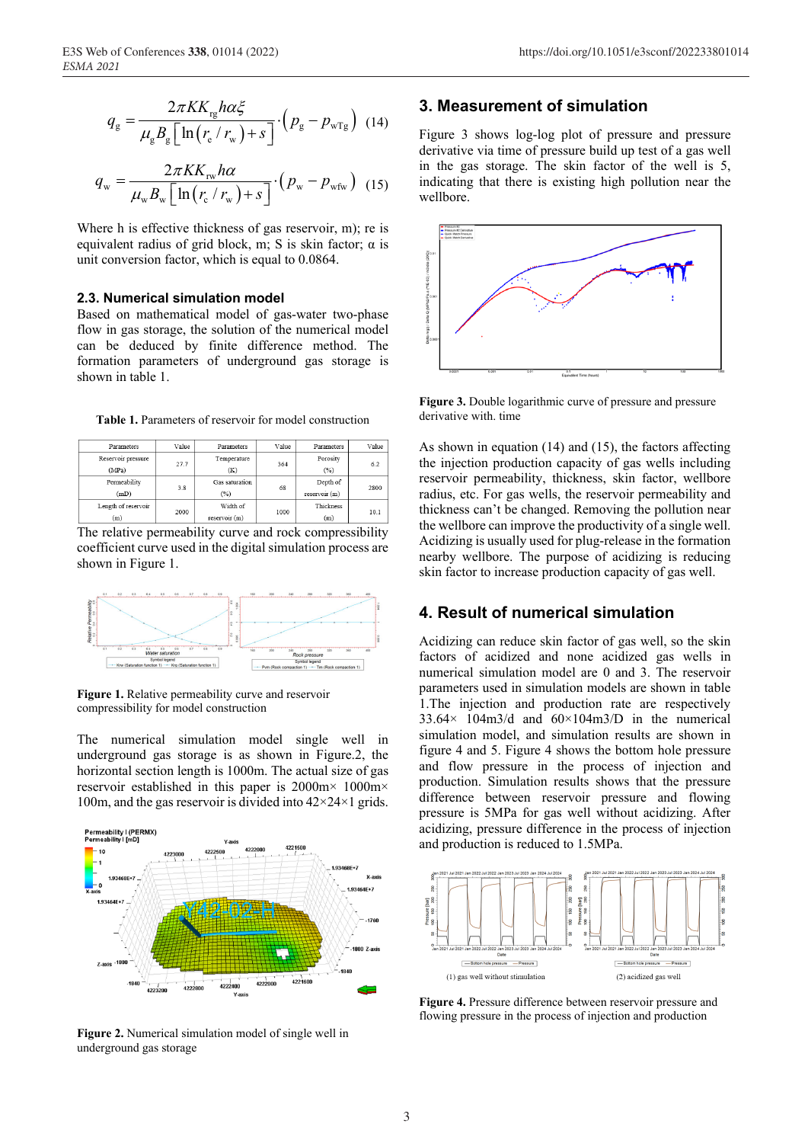$$
q_{\rm g} = \frac{2\pi K K_{\rm rg} h\alpha \xi}{\mu_{\rm g} B_{\rm g} \left[ \ln \left( r_{\rm e} / r_{\rm w} \right) + s \right]} \cdot \left( p_{\rm g} - p_{\rm wTg} \right) \tag{14}
$$

$$
q_{\rm w} = \frac{2\pi K K_{\rm rw} h\alpha}{\mu_{\rm w} B_{\rm w} \left[ \ln \left( r_{\rm c} / r_{\rm w} \right) + s \right]} \cdot \left( p_{\rm w} - p_{\rm wfw} \right) \tag{15}
$$

Where h is effective thickness of gas reservoir, m); re is equivalent radius of grid block, m; S is skin factor; α is unit conversion factor, which is equal to 0.0864.

### **2.3. Numerical simulation model**

Based on mathematical model of gas-water two-phase flow in gas storage, the solution of the numerical model can be deduced by finite difference method. The formation parameters of underground gas storage is shown in table 1.

| <b>Table 1.</b> Parameters of reservoir for model construction |  |  |  |  |
|----------------------------------------------------------------|--|--|--|--|
|----------------------------------------------------------------|--|--|--|--|

| Parameters          | Value | Parameters     | Value | Parameters    | Value |
|---------------------|-------|----------------|-------|---------------|-------|
| Reservoir pressure  |       | Temperature    | 364   | Porosity      | 6.2   |
| (MPa)               | 27.7  | (K)            |       | (%)           |       |
| Permeability        |       | Gas saturation | 68    | Depth of      | 2800  |
| (mD)                | 3.8   | (%)            |       | reservoir (m) |       |
| Length of reservoir |       | Width of       | 1000  | Thickness     | 10.1  |
| (m)                 | 2000  | reservoir (m)  |       | (m)           |       |

The relative permeability curve and rock compressibility coefficient curve used in the digital simulation process are shown in Figure 1.



**Figure 1.** Relative permeability curve and reservoir compressibility for model construction

The numerical simulation model single well in underground gas storage is as shown in Figure.2, the horizontal section length is 1000m. The actual size of gas reservoir established in this paper is 2000m× 1000m× 100m, and the gas reservoir is divided into  $42 \times 24 \times 1$  grids.



**Figure 2.** Numerical simulation model of single well in underground gas storage

### **3. Measurement of simulation**

Figure 3 shows log-log plot of pressure and pressure derivative via time of pressure build up test of a gas well in the gas storage. The skin factor of the well is 5, indicating that there is existing high pollution near the wellbore.



**Figure 3.** Double logarithmic curve of pressure and pressure derivative with. time

As shown in equation (14) and (15), the factors affecting the injection production capacity of gas wells including reservoir permeability, thickness, skin factor, wellbore radius, etc. For gas wells, the reservoir permeability and thickness can't be changed. Removing the pollution near the wellbore can improve the productivity of a single well. Acidizing is usually used for plug-release in the formation nearby wellbore. The purpose of acidizing is reducing skin factor to increase production capacity of gas well.

### **4. Result of numerical simulation**

Acidizing can reduce skin factor of gas well, so the skin factors of acidized and none acidized gas wells in numerical simulation model are 0 and 3. The reservoir parameters used in simulation models are shown in table 1.The injection and production rate are respectively  $33.64 \times 104 \text{ m}$ 3/d and  $60 \times 104 \text{ m}$ 3/D in the numerical simulation model, and simulation results are shown in figure 4 and 5. Figure 4 shows the bottom hole pressure and flow pressure in the process of injection and production. Simulation results shows that the pressure difference between reservoir pressure and flowing pressure is 5MPa for gas well without acidizing. After acidizing, pressure difference in the process of injection and production is reduced to 1.5MPa.



**Figure 4.** Pressure difference between reservoir pressure and flowing pressure in the process of injection and production